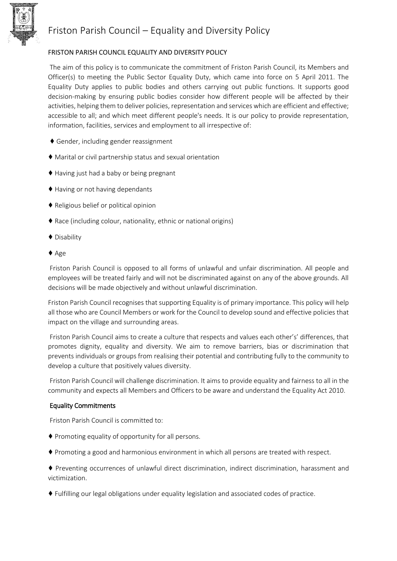

## Friston Parish Council – Equality and Diversity Policy

### FRISTON PARISH COUNCIL EQUALITY AND DIVERSITY POLICY

The aim of this policy is to communicate the commitment of Friston Parish Council, its Members and Officer(s) to meeting the Public Sector Equality Duty, which came into force on 5 April 2011. The Equality Duty applies to public bodies and others carrying out public functions. It supports good decision‐making by ensuring public bodies consider how different people will be affected by their activities, helping them to deliver policies, representation and services which are efficient and effective; accessible to all; and which meet different people's needs. It is our policy to provide representation, information, facilities, services and employment to all irrespective of:

- ♦ Gender, including gender reassignment
- ♦ Marital or civil partnership status and sexual orientation
- ♦ Having just had a baby or being pregnant
- ♦ Having or not having dependants
- ♦ Religious belief or political opinion
- ♦ Race (including colour, nationality, ethnic or national origins)
- ♦ Disability
- ♦ Age

Friston Parish Council is opposed to all forms of unlawful and unfair discrimination. All people and employees will be treated fairly and will not be discriminated against on any of the above grounds. All decisions will be made objectively and without unlawful discrimination.

Friston Parish Council recognises that supporting Equality is of primary importance. This policy will help all those who are Council Members or work for the Council to develop sound and effective policies that impact on the village and surrounding areas.

Friston Parish Council aims to create a culture that respects and values each other's' differences, that promotes dignity, equality and diversity. We aim to remove barriers, bias or discrimination that prevents individuals or groups from realising their potential and contributing fully to the community to develop a culture that positively values diversity.

Friston Parish Council will challenge discrimination. It aims to provide equality and fairness to all in the community and expects all Members and Officers to be aware and understand the Equality Act 2010.

#### Equality Commitments

Friston Parish Council is committed to:

- ♦ Promoting equality of opportunity for all persons.
- ♦ Promoting a good and harmonious environment in which all persons are treated with respect.
- ♦ Preventing occurrences of unlawful direct discrimination, indirect discrimination, harassment and victimization.
- ♦ Fulfilling our legal obligations under equality legislation and associated codes of practice.